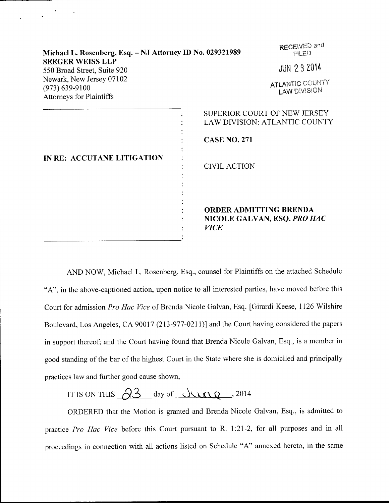| Michael L. Rosenberg, Esq. - NJ Attorney ID No. 029321989<br><b>SEEGER WEISS LLP</b><br>550 Broad Street, Suite 920 |                                              | RECEIVED and<br><b>FILED</b>                                         |  |
|---------------------------------------------------------------------------------------------------------------------|----------------------------------------------|----------------------------------------------------------------------|--|
|                                                                                                                     |                                              | <b>JUN 232014</b>                                                    |  |
| Newark, New Jersey 07102<br>$(973) 639 - 9100$<br><b>Attorneys for Plaintiffs</b>                                   | ATLANTIC COUNTY<br><b>LAW DIVISION</b>       |                                                                      |  |
| IN RE: ACCUTANE LITIGATION                                                                                          | <b>CASE NO. 271</b><br><b>CIVIL ACTION</b>   | SUPERIOR COURT OF NEW JERSEY<br><b>LAW DIVISION: ATLANTIC COUNTY</b> |  |
|                                                                                                                     | <b>ORDER ADMITTING BRENDA</b><br><b>VICE</b> | NICOLE GALVAN, ESQ. PRO HAC                                          |  |

AND NOW, Michael L, Rosenberg, Esq., counsel for Plaintiffs on the attached Schedule "A", in the above-captioned action, upon notice to all interested parties, have moved before this Court for admission Pro Hac Vice of Brenda Nicole Galvan, Esq. [Girardi Keese, 1126 Wilshire Boulevard, Los Angeles, CA 90017 (213-977-0211)] and the Court having considered the papers in support thereof; and the Court having found that Brenda Nicole Galvan, Esq., is a member in good standing of the bar of the highest Court in the State where she is domiciled and principally practices law and further good cause shown,

## IT IS ON THIS  $2^3$  day of June ,2014

ORDERED that the Motion is granted and Brenda Nicole Galvan, Esq., is admitted to practice Pro Hac Vice before this Court pursuant to R. 1:21-2, for all purposes and in all proceedings in connection with all actions listed on Schedule "A" annexed hereto, in the same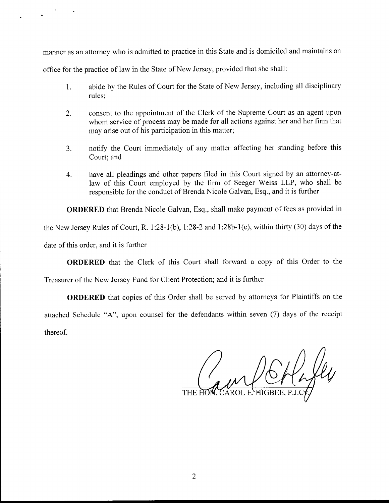manner as an attorney who is admitted to practice in this State and is domiciled and maintains an

office for the practice of law in the State of New Jersey, provided that she shall:

- 1. abide by the Rules of Court for the State of New Jersey, including all disciplinary rules;
- 2. consent to the appointment of the Clerk of the Supreme Court as an agent upon whom service of process may be made for all actions against her and her firm that may arise out of his participation in this matter;
- 3. notify the Court immediately of any matter affecting her standing before this Court; and
- 4. have all pleadings and other papers filed in this Court signed by an attorney-atlaw of this Court employed by the firm of Seeger Weiss LLP, who shall be responsible for the conduct of Brenda Nicole Galvan, Esq., and it is further

ORDERED that Brenda Nicole Galvan, Esq., shall make payment of fees as provided in the New Jersey Rules of Court, R. 1:28-1(b), 1:28-2 and 1:28b-1(e), within thirty (30) days of the date of this order, and it is further

ORDERED that the Clerk of this Court shall forward a copy of this Order to the

Treasurer of the New Jersey Fund for Client Protection; and it is further

ORDERED that copies of this Order shall be served by attorneys for Plaintiffs on the attached Schedule "A", upon counsel for the defendants within seven (7) days of the receipt thereof.

CAROL E.<del>Y</del>IIGBEE.